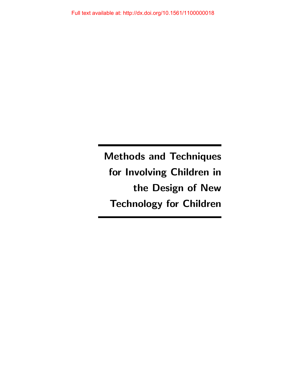Methods and Techniques for Involving Children in the Design of New Technology for Children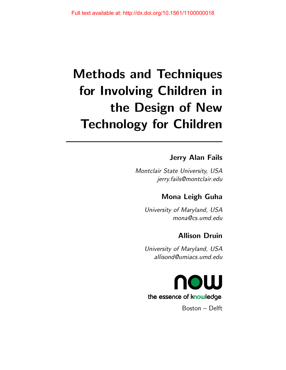# Methods and Techniques for Involving Children in the Design of New Technology for Children

# Jerry Alan Fails

Montclair State University, USA jerry.fails@montclair.edu

# Mona Leigh Guha

University of Maryland, USA mona@cs.umd.edu

# Allison Druin

University of Maryland, USA allisond@umiacs.umd.edu

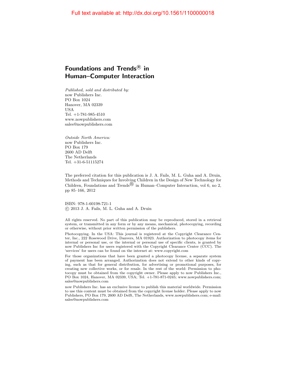# Foundations and Trends ${}^{\text{\textregistered}}$  in Human–Computer Interaction

Published, sold and distributed by: now Publishers Inc. PO Box 1024 Hanover, MA 02339 USA Tel. +1-781-985-4510 www.nowpublishers.com sales@nowpublishers.com

Outside North America: now Publishers Inc. PO Box 179 2600 AD Delft The Netherlands Tel. +31-6-51115274

The preferred citation for this publication is J. A. Fails, M. L. Guha and A. Druin, Methods and Techniques for Involving Children in the Design of New Technology for Children, Foundations and Trends<sup> $\mathcal{B}$ </sup> in Human–Computer Interaction, vol 6, no 2, pp 85–166, 2012

ISBN: 978-1-60198-721-1 c 2013 J. A. Fails, M. L. Guha and A. Druin

All rights reserved. No part of this publication may be reproduced, stored in a retrieval system, or transmitted in any form or by any means, mechanical, photocopying, recording or otherwise, without prior written permission of the publishers.

Photocopying. In the USA: This journal is registered at the Copyright Clearance Center, Inc., 222 Rosewood Drive, Danvers, MA 01923. Authorization to photocopy items for internal or personal use, or the internal or personal use of specific clients, is granted by now Publishers Inc for users registered with the Copyright Clearance Center (CCC). The 'services' for users can be found on the internet at: www.copyright.com

For those organizations that have been granted a photocopy license, a separate system of payment has been arranged. Authorization does not extend to other kinds of copying, such as that for general distribution, for advertising or promotional purposes, for creating new collective works, or for resale. In the rest of the world: Permission to photocopy must be obtained from the copyright owner. Please apply to now Publishers Inc., PO Box 1024, Hanover, MA 02339, USA; Tel. +1-781-871-0245; www.nowpublishers.com; sales@nowpublishers.com

now Publishers Inc. has an exclusive license to publish this material worldwide. Permission to use this content must be obtained from the copyright license holder. Please apply to now Publishers, PO Box 179, 2600 AD Delft, The Netherlands, www.nowpublishers.com; e-mail: sales@nowpublishers.com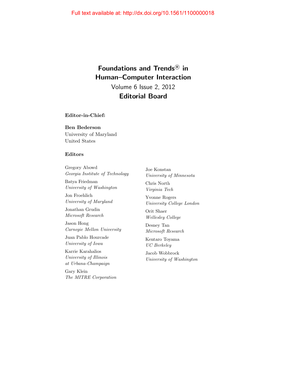# Foundations and Trends<sup>®</sup> in Human–Computer Interaction Volume 6 Issue 2, 2012 Editorial Board

Editor-in-Chief:

Ben Bederson University of Maryland United States

## Editors

Gregory Abowd Georgia Institute of Technology

Batya Friedman University of Washington

Jon Froehlich University of Maryland

Jonathan Grudin Microsoft Research

Jason Hong Carnegie Mellon University

Juan Pablo Hourcade University of Iowa

Karrie Karahalios University of Illinois at Urbana-Champaign

Gary Klein The MITRE Corporation Joe Konstan University of Minnesota

Chris North Virginia Tech

Yvonne Rogers University College London

Orit Shaer Wellesley College

Desney Tan Microsoft Research

Kentaro Toyama UC Berkeley

Jacob Wobbrock University of Washington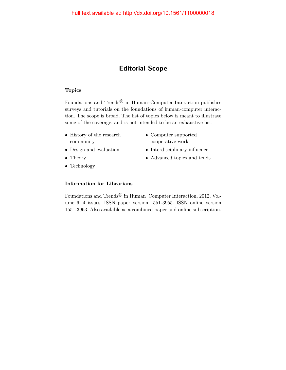# Editorial Scope

## Topics

Foundations and Trends<sup>®</sup> in Human–Computer Interaction publishes surveys and tutorials on the foundations of human-computer interaction. The scope is broad. The list of topics below is meant to illustrate some of the coverage, and is not intended to be an exhaustive list.

- History of the research community
- Computer supported cooperative work
- Design and evaluation
- Theory
- Interdisciplinary influence
- Advanced topics and tends

• Technology

# Information for Librarians

Foundations and Trends<sup>®</sup> in Human–Computer Interaction, 2012, Volume 6, 4 issues. ISSN paper version 1551-3955. ISSN online version 1551-3963. Also available as a combined paper and online subscription.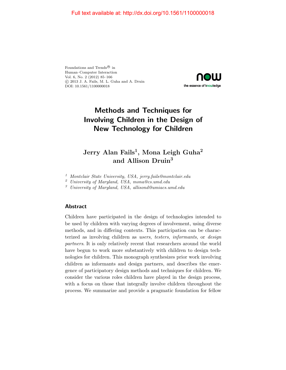Foundations and Trends<br> $^{\circledR}$  in Human–Computer Interaction Vol. 6, No. 2 (2012) 85–166 c 2013 J. A. Fails, M. L. Guha and A. Druin DOI: 10.1561/1100000018



# Methods and Techniques for Involving Children in the Design of New Technology for Children

# ${\rm Jerry}$  Alan Fails $^1,$  Mona Leigh Guha $^2$ and Allison Druin<sup>3</sup>

- <sup>1</sup> Montclair State University, USA, jerry.fails@montclair.edu
- <sup>2</sup> University of Maryland, USA, mona@cs.umd.edu
- $3$  University of Maryland, USA, allisond@umiacs.umd.edu

# Abstract

Children have participated in the design of technologies intended to be used by children with varying degrees of involvement, using diverse methods, and in differing contexts. This participation can be characterized as involving children as users, testers, informants, or design partners. It is only relatively recent that researchers around the world have begun to work more substantively with children to design technologies for children. This monograph synthesizes prior work involving children as informants and design partners, and describes the emergence of participatory design methods and techniques for children. We consider the various roles children have played in the design process, with a focus on those that integrally involve children throughout the process. We summarize and provide a pragmatic foundation for fellow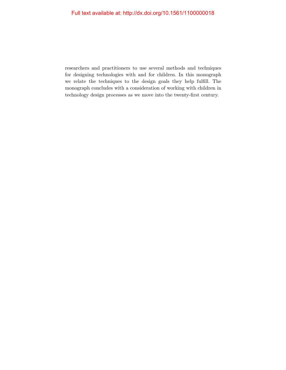researchers and practitioners to use several methods and techniques for designing technologies with and for children. In this monograph we relate the techniques to the design goals they help fulfill. The monograph concludes with a consideration of working with children in technology design processes as we move into the twenty-first century.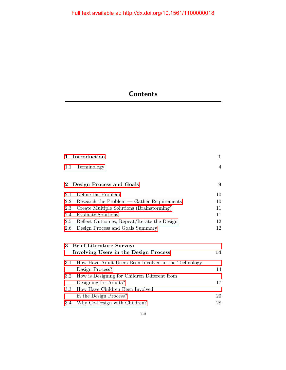# **Contents**

| 1                     | Introduction                                         | 1  |
|-----------------------|------------------------------------------------------|----|
| 1.1                   | Terminology                                          | 4  |
| $\mathbf{2}^{\prime}$ |                                                      |    |
|                       | <b>Design Process and Goals</b>                      | 9  |
| 2.1                   | Define the Problem                                   | 10 |
| 2.2                   | $Research the Problem - Gather Requirements$         | 10 |
| 2.3                   | Create Multiple Solutions (Brainstorming)            | 11 |
| 2.4                   | <b>Evaluate Solutions</b>                            | 11 |
| 2.5                   | Reflect Outcomes, Repeat/Iterate the Design          | 12 |
| 2.6                   | Design Process and Goals Summary                     | 12 |
|                       |                                                      |    |
| 3                     | <b>Brief Literature Survey:</b>                      |    |
|                       | <b>Involving Users in the Design Process</b>         | 14 |
| 3.1                   | How Have Adult Users Been Involved in the Technology |    |
|                       | Design Process?                                      | 14 |
| $3.2^{\circ}$         | How is Designing for Children Different from         |    |
|                       | Designing for Adults?                                | 17 |
|                       | 3.3 How Have Children Been Involved                  |    |
|                       | in the Design Process?                               | 20 |
| 3.4                   | Why Co-Design with Children?                         | 28 |
|                       |                                                      |    |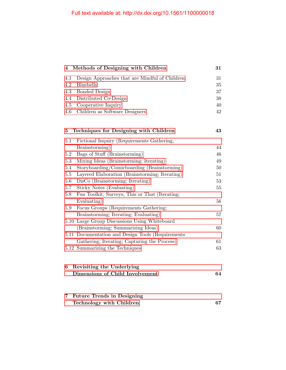| Methods of Designing with Children<br>4                                          | 31     |
|----------------------------------------------------------------------------------|--------|
| 4.1<br>Design Approaches that are Mindful of Children                            | 31     |
| <b>Bluebells</b><br>$4.2\,$                                                      | 35     |
| 4.3<br><b>Bonded Design</b>                                                      | 37     |
| 4.4<br>Distributed Co-Design                                                     | 38     |
| $4.5\,$<br>Cooperative Inquiry                                                   | 40     |
| Children as Software Designers<br>$4.6\,$                                        | 42     |
| Techniques for Designing with Children<br>$\bf{5}$                               | 43     |
| 5.1<br>Fictional Inquiry (Requirements Gathering,                                |        |
| Brainstorming)                                                                   | 44     |
| Bags of Stuff (Brainstorming)<br>$5.2\,$                                         | 46     |
| Mixing Ideas (Brainstorming; Iterating)<br>5.3                                   | 49     |
| Storyboarding/Comicboarding (Brainstorming)<br>5.4                               | 50     |
| Layered Elaboration (Brainstorming; Iterating)<br>$5.5\,$                        | 51     |
| DisCo (Brainstorming; Iterating)<br>5.6                                          | 53     |
| $5.7\,$<br>Sticky Notes (Evaluating)                                             | $55\,$ |
| Fun Toolkit, Surveys, This or That (Iterating;<br>$5.8\,$                        |        |
| Evaluating)                                                                      | 56     |
| $5.9\,$<br>Focus Groups (Requirements Gathering;                                 |        |
| Brainstorming; Iterating; Evaluating)                                            | $57\,$ |
| 5.10 Large Group Discussions Using Whiteboard                                    |        |
| (Brainstorming; Summarizing Ideas)                                               | 60     |
| 5.11 Documentation and Design Tools (Requirements                                |        |
| Gathering; Iterating; Capturing the Process)                                     | 61     |
| 5.12 Summarizing the Techniques                                                  | 63     |
| $\boldsymbol{6}$<br>Revisiting the Underlying<br>Dimensions of Child Involvement | 64     |
| <b>Future Trends in Designing</b><br>7<br>Technology with Children               | 67     |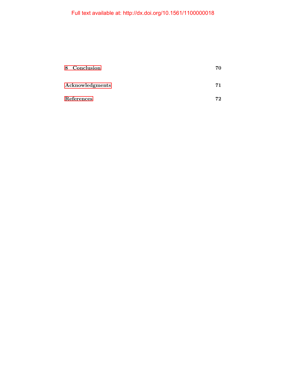| 8 Conclusion    | 70 |
|-----------------|----|
| Acknowledgments | 71 |
| References      | 72 |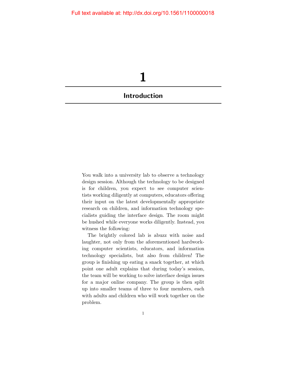<span id="page-10-0"></span>You walk into a university lab to observe a technology design session. Although the technology to be designed is for children, you expect to see computer scientists working diligently at computers, educators offering their input on the latest developmentally appropriate research on children, and information technology specialists guiding the interface design. The room might be hushed while everyone works diligently. Instead, you witness the following:

The brightly colored lab is abuzz with noise and laughter, not only from the aforementioned hardworking computer scientists, educators, and information technology specialists, but also from children! The group is finishing up eating a snack together, at which point one adult explains that during today's session, the team will be working to solve interface design issues for a major online company. The group is then split up into smaller teams of three to four members, each with adults and children who will work together on the problem.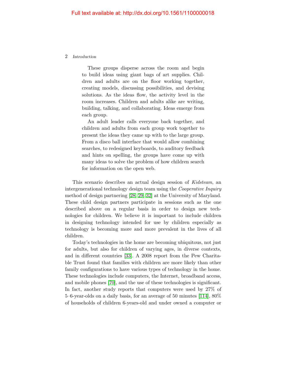These groups disperse across the room and begin to build ideas using giant bags of art supplies. Children and adults are on the floor working together, creating models, discussing possibilities, and devising solutions. As the ideas flow, the activity level in the room increases. Children and adults alike are writing, building, talking, and collaborating. Ideas emerge from each group.

An adult leader calls everyone back together, and children and adults from each group work together to present the ideas they came up with to the large group. From a disco ball interface that would allow combining searches, to redesigned keyboards, to auditory feedback and hints on spelling, the groups have come up with many ideas to solve the problem of how children search for information on the open web.

This scenario describes an actual design session of Kidsteam, an intergenerational technology design team using the Cooperative Inquiry method of design partnering [\[28,](#page-20-0) [29,](#page-20-1) [32\]](#page-20-2) at the University of Maryland. These child design partners participate in sessions such as the one described above on a regular basis in order to design new technologies for children. We believe it is important to include children in designing technology intended for use by children especially as technology is becoming more and more prevalent in the lives of all children.

Today's technologies in the home are becoming ubiquitous, not just for adults, but also for children of varying ages, in diverse contexts, and in different countries [\[33\]](#page-20-3). A 2008 report from the Pew Charitable Trust found that families with children are more likely than other family configurations to have various types of technology in the home. These technologies include computers, the Internet, broadband access, and mobile phones [\[70\]](#page-23-0), and the use of these technologies is significant. In fact, another study reports that computers were used by 27% of 5–6-year-olds on a daily basis, for an average of 50 minutes [\[114\]](#page-25-0), 80% of households of children 6-years-old and under owned a computer or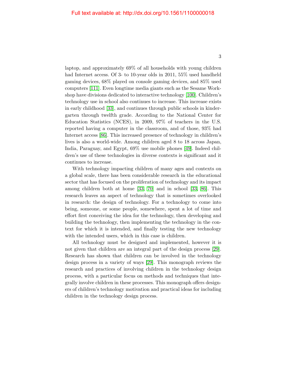laptop, and approximately 69% of all households with young children had Internet access. Of 3- to 10-year olds in 2011, 55\% used handheld gaming devices, 68% played on console gaming devices, and 85% used computers [\[111\]](#page-25-1). Even longtime media giants such as the Sesame Workshop have divisions dedicated to interactive technology [\[100\]](#page-24-0). Children's technology use in school also continues to increase. This increase exists in early childhood [\[33\]](#page-20-3), and continues through public schools in kindergarten through twelfth grade. According to the National Center for Education Statistics (NCES), in 2009, 97% of teachers in the U.S. reported having a computer in the classroom, and of those, 93% had Internet access [\[86\]](#page-23-1). This increased presence of technology in children's lives is also a world-wide. Among children aged 8 to 18 across Japan, India, Paraguay, and Egypt, 69% use mobile phones [\[49\]](#page-21-0). Indeed children's use of these technologies in diverse contexts is significant and it continues to increase.

With technology impacting children of many ages and contexts on a global scale, there has been considerable research in the educational sector that has focused on the proliferation of technology and its impact among children both at home [\[33,](#page-20-3) [70\]](#page-23-0) and in school [\[33,](#page-20-3) [86\]](#page-23-1). This research leaves an aspect of technology that is sometimes overlooked in research: the design of technology. For a technology to come into being, someone, or some people, somewhere, spent a lot of time and effort first conceiving the idea for the technology, then developing and building the technology, then implementing the technology in the context for which it is intended, and finally testing the new technology with the intended users, which in this case is children.

All technology must be designed and implemented, however it is not given that children are an integral part of the design process [\[29\]](#page-20-1). Research has shown that children can be involved in the technology design process in a variety of ways [\[29\]](#page-20-1). This monograph reviews the research and practices of involving children in the technology design process, with a particular focus on methods and techniques that integrally involve children in these processes. This monograph offers designers of children's technology motivation and practical ideas for including children in the technology design process.

3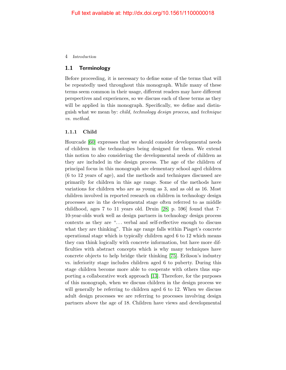# <span id="page-13-0"></span>1.1 Terminology

Before proceeding, it is necessary to define some of the terms that will be repeatedly used throughout this monograph. While many of these terms seem common in their usage, different readers may have different perspectives and experiences, so we discuss each of these terms as they will be applied in this monograph. Specifically, we define and distinguish what we mean by: child, technology design process, and technique vs. method.

## 1.1.1 Child

Hourcade [\[60\]](#page-22-0) expresses that we should consider developmental needs of children in the technologies being designed for them. We extend this notion to also considering the developmental needs of children as they are included in the design process. The age of the children of principal focus in this monograph are elementary school aged children (6 to 12 years of age), and the methods and techniques discussed are primarily for children in this age range. Some of the methods have variations for children who are as young as 3, and as old as 16. Most children involved in reported research on children in technology design processes are in the developmental stage often referred to as middle childhood, ages 7 to 11 years old. Druin [\[28,](#page-20-0) p. 596] found that 7– 10-year-olds work well as design partners in technology design process contexts as they are ". . . verbal and self-reflective enough to discuss what they are thinking". This age range falls within Piaget's concrete operational stage which is typically children aged 6 to 12 which means they can think logically with concrete information, but have more difficulties with abstract concepts which is why many techniques have concrete objects to help bridge their thinking [\[75\]](#page-23-2). Erikson's industry vs. inferiority stage includes children aged 6 to puberty. During this stage children become more able to cooperate with others thus supporting a collaborative work approach [\[13\]](#page-19-0). Therefore, for the purposes of this monograph, when we discuss children in the design process we will generally be referring to children aged 6 to 12. When we discuss adult design processes we are referring to processes involving design partners above the age of 18. Children have views and developmental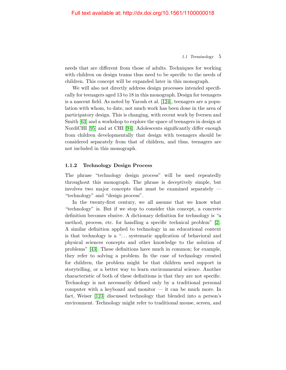## 1.1 Terminology 5

needs that are different from those of adults. Techniques for working with children on design teams thus need to be specific to the needs of children. This concept will be expanded later in this monograph.

We will also not directly address design processes intended specifically for teenagers aged 13 to 18 in this monograph. Design for teenagers is a nascent field. As noted by Yarosh et al. [\[124\]](#page-26-0), teenagers are a population with whom, to date, not much work has been done in the area of participatory design. This is changing, with recent work by Iversen and Smith [\[63\]](#page-22-1) and a workshop to explore the space of teenagers in design at NordiCHI [\[95\]](#page-24-1) and at CHI [\[94\]](#page-24-2). Adolescents significantly differ enough from children developmentally that design with teenagers should be considered separately from that of children, and thus, teenagers are not included in this monograph.

## 1.1.2 Technology Design Process

The phrase "technology design process" will be used repeatedly throughout this monograph. The phrase is deceptively simple, but involves two major concepts that must be examined separately — "technology" and "design process".

In the twenty-first century, we all assume that we know what "technology" is. But if we stop to consider this concept, a concrete definition becomes elusive. A dictionary definition for technology is "a method, process, etc. for handling a specific technical problem" [\[2\]](#page-18-1). A similar definition applied to technology in an educational context is that technology is a "... systematic application of behavioral and physical sciences concepts and other knowledge to the solution of problems" [\[43\]](#page-21-1). These definitions have much in common; for example, they refer to solving a problem. In the case of technology created for children, the problem might be that children need support in storytelling, or a better way to learn environmental science. Another characteristic of both of these definitions is that they are not specific. Technology is not necessarily defined only by a traditional personal computer with a keyboard and monitor — it can be much more. In fact, Weiser [\[123\]](#page-26-1) discussed technology that blended into a person's environment. Technology might refer to traditional mouse, screen, and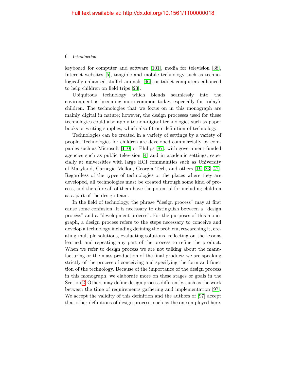keyboard for computer and software [\[101\]](#page-24-3), media for television [\[38\]](#page-20-4), Internet websites [\[5\]](#page-18-2), tangible and mobile technology such as technologically enhanced stuffed animals [\[46\]](#page-21-2), or tablet computers enhanced to help children on field trips [\[23\]](#page-19-1).

Ubiquitous technology which blends seamlessly into the environment is becoming more common today, especially for today's children. The technologies that we focus on in this monograph are mainly digital in nature; however, the design processes used for these technologies could also apply to non-digital technologies such as paper books or writing supplies, which also fit our definition of technology.

Technologies can be created in a variety of settings by a variety of people. Technologies for children are developed commercially by companies such as Microsoft [\[110\]](#page-25-2) or Philips [\[87\]](#page-24-4), with government-funded agencies such as public television [\[4\]](#page-18-3) and in academic settings, especially at universities with large HCI communities such as University of Maryland, Carnegie Mellon, Georgia Tech, and others [\[19,](#page-19-2) [23,](#page-19-1) [47\]](#page-21-3). Regardless of the types of technologies or the places where they are developed, all technologies must be created through some kind of process, and therefore all of them have the potential for including children as a part of the design team.

In the field of technology, the phrase "design process" may at first cause some confusion. It is necessary to distinguish between a "design process" and a "development process". For the purposes of this monograph, a design process refers to the steps necessary to conceive and develop a technology including defining the problem, researching it, creating multiple solutions, evaluating solutions, reflecting on the lessons learned, and repeating any part of the process to refine the product. When we refer to design process we are not talking about the manufacturing or the mass production of the final product; we are speaking strictly of the process of conceiving and specifying the form and function of the technology. Because of the importance of the design process in this monograph, we elaborate more on these stages or goals in the Section [2.](#page--1-0) Others may define design process differently, such as the work between the time of requirements gathering and implementation [\[97\]](#page-24-5). We accept the validity of this definition and the authors of [\[97\]](#page-24-5) accept that other definitions of design process, such as the one employed here,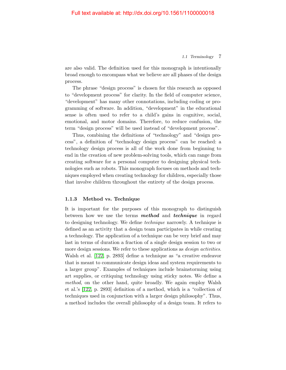## 1.1 Terminology 7

are also valid. The definition used for this monograph is intentionally broad enough to encompass what we believe are all phases of the design process.

The phrase "design process" is chosen for this research as opposed to "development process" for clarity. In the field of computer science, "development" has many other connotations, including coding or programming of software. In addition, "development" in the educational sense is often used to refer to a child's gains in cognitive, social, emotional, and motor domains. Therefore, to reduce confusion, the term "design process" will be used instead of "development process".

Thus, combining the definitions of "technology" and "design process", a definition of "technology design process" can be reached: a technology design process is all of the work done from beginning to end in the creation of new problem-solving tools, which can range from creating software for a personal computer to designing physical technologies such as robots. This monograph focuses on methods and techniques employed when creating technology for children, especially those that involve children throughout the entirety of the design process.

## 1.1.3 Method vs. Technique

It is important for the purposes of this monograph to distinguish between how we use the terms **method** and **technique** in regard to designing technology. We define technique narrowly. A technique is defined as an activity that a design team participates in while creating a technology. The application of a technique can be very brief and may last in terms of duration a fraction of a single design session to two or more design sessions. We refer to these applications as *design activities*. Walsh et al. [\[122,](#page-26-2) p. 2893] define a technique as "a creative endeavor that is meant to communicate design ideas and system requirements to a larger group". Examples of techniques include brainstorming using art supplies, or critiquing technology using sticky notes. We define a method, on the other hand, quite broadly. We again employ Walsh et al.'s [\[122,](#page-26-2) p. 2893] definition of a method, which is a "collection of techniques used in conjunction with a larger design philosophy". Thus, a method includes the overall philosophy of a design team. It refers to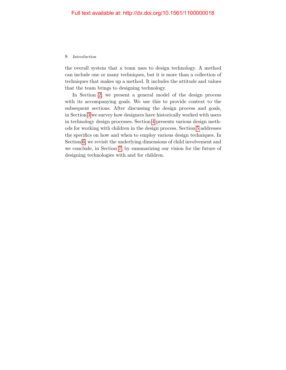the overall system that a team uses to design technology. A method can include one or many techniques, but it is more than a collection of techniques that makes up a method. It includes the attitude and values that the team brings to designing technology.

In Section [2,](#page--1-0) we present a general model of the design process with its accompanying goals. We use this to provide context to the subsequent sections. After discussing the design process and goals, in Section [3](#page--1-0) we survey how designers have historically worked with users in technology design processes. Section [4](#page--1-0) presents various design methods for working with children in the design process. Section [5](#page--1-0) addresses the specifics on how and when to employ various design techniques. In Section [6,](#page--1-0) we revisit the underlying dimensions of child involvement and we conclude, in Section [7,](#page--1-0) by summarizing our vision for the future of designing technologies with and for children.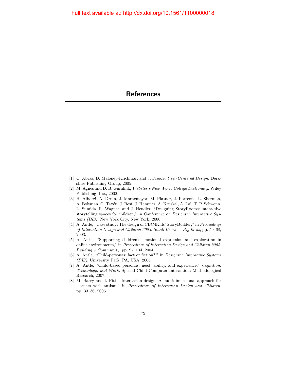- <span id="page-18-0"></span>[1] C. Abras, D. Maloney-Krichmar, and J. Preece, User-Centered Design. Berkshire Publishing Group, 2005.
- <span id="page-18-1"></span>[2] M. Agnes and D. B. Guralnik, Webster's New World College Dictionary. Wiley Publishing, Inc., 2002.
- [3] H. Alborzi, A. Druin, J. Montemayor, M. Platner, J. Porteous, L. Sherman, A. Boltman, G. Taxén, J. Best, J. Hammer, A. Kruskal, A. Lal, T. P. Schwenn, L. Sumida, R. Wagner, and J. Hendler, "Designing StoryRooms: interactive storytelling spaces for children," in Conference on Designing Interactive Systems (DIS), New York City, New York, 2000.
- <span id="page-18-3"></span>[4] A. Antle, "Case study: The design of CBC4Kids' StoryBuilder," in Proceedings of Interaction Design and Children 2003: Small Users — Big Ideas, pp. 59–68, 2003.
- <span id="page-18-2"></span>[5] A. Antle, "Supporting children's emotional expression and exploration in online environments," in Proceedings of Interaction Design and Children 2004: Building a Community, pp. 97–104, 2004.
- [6] A. Antle, "Child-personas: fact or fiction?," in Designing Interactive Systems (DIS), University Park, PA, USA, 2006.
- [7] A. Antle, "Child-based personas: need, ability, and experience," Cognition, Technology, and Work, Special Child Computer Interaction: Methodological Research, 2007.
- [8] M. Barry and I. Pitt, "Interaction design: A multidimensional approach for learners with autism," in Proceedings of Interaction Design and Children, pp. 33–36, 2006.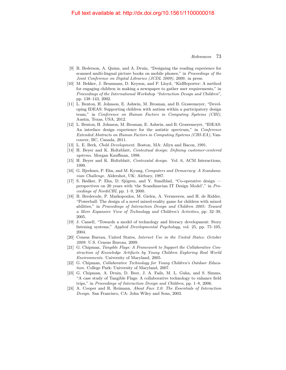- [9] B. Bederson, A. Quinn, and A. Druin, "Designing the reading experience for scanned multi-lingual picture books on mobile phones," in Proceedings of the Joint Conference on Digital Libraries (JCDL 2009), 2009. in press.
- [10] M. Bekker, J. Beusmans, D. Keyson, and P. Lloyd, "KidReporter: A method for engaging children in making a newspaper to gather user requirements," in Proceedings of the International Workshop "Interaction Design and Children", pp. 138–143, 2002.
- [11] L. Benton, H. Johnson, E. Ashwin, M. Brosnan, and B. Grawemeyer, "Developing IDEAS: Supporting children with autism within a participatory design team," in Conference on Human Factors in Computing Systems (CHI), Austin, Texas, USA, 2012.
- [12] L. Benton, H. Johnson, M. Brosnan, E. Ashwin, and B. Grawemeyer, "IDEAS: An interface design experience for the autistic spectrum," in Conference Extended Abstracts on Human Factors in Computing Systems (CHI-EA), Vancouver, BC, Canada, 2011.
- <span id="page-19-0"></span>[13] L. E. Berk, Child Development. Boston, MA: Allyn and Bacon, 1991.
- [14] H. Beyer and K. Holtzblatt, Contextual design: Defining customer-centered systems. Morgan Kauffman, 1998.
- [15] H. Beyer and K. Holtzblatt, Contexutal design. Vol. 6, ACM Interactions, 1999.
- [16] G. Bjerknes, P. Ehn, and M. Kyung, Computers and Democracy: A Scandanavian Challenge. Aldershot, UK: Alebury, 1987.
- [17] S. Bødker, P. Ehn, D. Sjögren, and Y. Sundblad, "Co-operative design perspectives on 20 years with 'the Scandinavian IT Design Model'," in Proceedings of NordiCHI, pp. 1–9, 2000.
- [18] B. Brederode, P. Markopoulos, M. Gielen, A. Vermeeren, and H. de Ridder, "Powerball: The design of a novel mixed-reality game for children with mixed abilities," in Proceedings of Interaction Design and Children 2005: Toward a More Expansive View of Technology and Children's Activities, pp. 32–39, 2005.
- <span id="page-19-2"></span>[19] J. Cassell, "Towards a model of technology and literacy development: Story listening systems," Applied Developmental Psychology, vol. 25, pp. 75–105, 2004.
- [20] Census Bureau, United States, Internet Use in the United States: October 2009. U.S. Census Bureau, 2009.
- [21] G. Chipman, Tangible Flags: A Framework to Support the Collaborative Construction of Knowledge Artifacts by Young Children Exploring Real World Environments. University of Maryland, 2005.
- [22] G. Chipman, Collaborative Technology for Young Children's Outdoor Education. College Park: University of Maryland, 2007.
- <span id="page-19-1"></span>[23] G. Chipman, A. Druin, D. Beer, J. A. Fails, M. L. Guha, and S. Simms, "A case study of Tangible Flags: A collaborative technology to enhance field trips," in Proceedings of Interaction Design and Children, pp. 1–8, 2006.
- [24] A. Cooper and R. Reimann, About Face 2.0: The Essentials of Interaction Design. San Francisco, CA: John Wiley and Sons, 2003.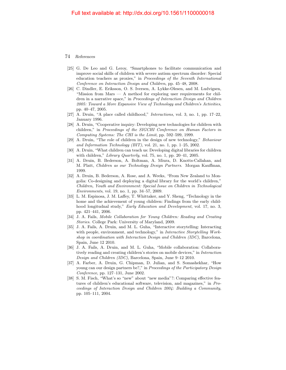- [25] G. De Leo and G. Leroy, "Smartphones to facilitate communication and improve social skills of children with severe autism spectrum disorder: Special education teachers as proxies," in Proceedings of the Seventh International Conference on Interaction Design and Children, pp. 45–48, 2008.
- [26] C. Dindler, E. Eriksson, O. S. Iversen, A. Lykke-Olesen, and M. Ludvigsen, "Mission from Mars — A method for exploring user requirements for children in a narrative space," in Proceedings of Interaction Design and Children 2005: Toward a More Expansive View of Technology and Children's Activities, pp. 40–47, 2005.
- [27] A. Druin, "A place called childhood," Interactions, vol. 3, no. 1, pp. 17–22, January 1996.
- <span id="page-20-0"></span>[28] A. Druin, "Cooperative inquiry: Developing new technologies for children with children," in Proceedings of the SIGCHI Conference on Human Factors in Computing Systems: The CHI is the Limit, pp. 592–599, 1999.
- <span id="page-20-1"></span>[29] A. Druin, "The role of children in the design of new technology," Behaviour and Information Technology (BIT), vol. 21, no. 1, pp. 1–25, 2002.
- [30] A. Druin, "What children can teach us: Developing digital libraries for children with children," Library Quarterly, vol. 75, no. 1, pp. 20–41, 2005.
- [31] A. Druin, B. Bederson, A. Boltman, A. Miura, D. Knotts-Callahan, and M. Platt, Children as our Technology Design Partners. Morgan Kauffman, 1999.
- <span id="page-20-2"></span>[32] A. Druin, B. Bederson, A. Rose, and A. Weeks, "From New Zealand to Mongolia: Co-designing and deploying a digital library for the world's children," Children, Youth and Environment: Special Issue on Children in Technological Environments, vol. 19, no. 1, pp. 34–57, 2009.
- <span id="page-20-3"></span>[33] L. M. Espinosa, J. M. Laffey, T. Whittaker, and Y. Sheng, "Technology in the home and the achievement of young children: Findings from the early childhood longitudnal study," Early Education and Development, vol. 17, no. 3, pp. 421–441, 2006.
- [34] J. A. Fails, Mobile Collaboration for Young Children: Reading and Creating Stories. College Park: University of Maryland, 2009.
- [35] J. A. Fails, A. Druin, and M. L. Guha, "Interactive storytelling: Interacting with people, environment, and technology," in Interactive Storytelling Workshop in coordination with Interaction Design and Children (IDC), Barcelona, Spain, June 12 2010.
- [36] J. A. Fails, A. Druin, and M. L. Guha, "Mobile collaboration: Collaboratively reading and creating children's stories on mobile devices," in Interaction Design and Children (IDC), Barcelona, Spain, June 9–12 2010.
- [37] A. Farber, A. Druin, G. Chipman, D. Julian, and S. Somashekhar, "How young can our design partners be?," in Proceedings of the Participatory Design Conference, pp. 127–131, June 2002.
- <span id="page-20-4"></span>[38] S. M. Fisch, "What's so "new" about "new media"?: Comparing effective features of children's educational software, television, and magazines," in Proceedings of Interaction Design and Children 2004: Building a Community, pp. 105–111, 2004.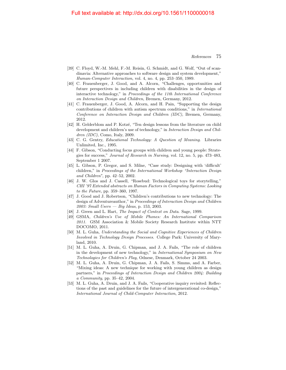- [39] C. Floyd, W.-M. Mehl, F.-M. Reisin, G. Schmidt, and G. Wolf, "Out of scandinavia: Alternative approaches to software design and system development," Human-Computer Interaction, vol. 4, no. 4, pp. 253–350, 1989.
- [40] C. Frauenberger, J. Good, and A. Alcorn, "Challenges, opportunities and future perspectives in including children with disabilities in the design of interactive technology," in Proceedings of the 11th International Conference on Interaction Design and Children, Bremen, Germany, 2012.
- [41] C. Frauenberger, J. Good, A. Alcorn, and H. Pain, "Supporting the design contributions of children with autism spectrum conditions," in International Conference on Interaction Design and Children (IDC), Bremen, Germany, 2012.
- [42] H. Gelderblom and P. Kotzé, "Ten design lessons from the literature on child development and children's use of technology," in Interaction Design and Chil $dren$  (IDC), Como, Italy, 2009.
- <span id="page-21-1"></span>[43] C. G. Gentry, Educational Technology: A Question of Meaning. Libraries Unlimited, Inc., 1995.
- [44] F. Gibson, "Conducting focus groups with children and young people: Strategies for success," Journal of Research in Nursing, vol. 12, no. 5, pp. 473–483, September 1 2007.
- [45] L. Gibson, P. Gregor, and S. Milne, "Case study: Designing with 'difficult' children," in Proceedings of the International Workshop "Interaction Design and Children", pp. 42–52, 2002.
- <span id="page-21-2"></span>[46] J. W. Glos and J. Cassell, "Rosebud: Technological toys for storytelling," CHI '97 Extended abstracts on Human Factors in Computing Systems: Looking to the Future, pp. 359–360, 1997.
- <span id="page-21-3"></span>[47] J. Good and J. Robertson, "Children's contributions to new technology: The design of Adventureauthor," in Proceedings of Interaction Design and Children 2003: Small Users — Big Ideas, p. 153, 2003.
- [48] J. Green and L. Hart, *The Impact of Context on Data*. Sage, 1999.
- <span id="page-21-0"></span>[49] GSMA, Children's Use of Mobile Phones: An International Comparison 2011. GSM Association & Mobile Society Research Institute within NTT DOCOMO, 2011.
- [50] M. L. Guha, Understanding the Social and Cognitive Experiences of Children Involved in Technology Design Processes. College Park: University of Maryland, 2010.
- [51] M. L. Guha, A. Druin, G. Chipman, and J. A. Fails, "The role of children in the development of new technology," in International Symposium on New Technologies for Children's Play, Odnese, Denmark, October 24 2003.
- [52] M. L. Guha, A. Druin, G. Chipman, J. A. Fails, S. Simms, and A. Farber, "Mixing ideas: A new technique for working with young children as design partners," in Proceedings of Interaction Design and Children 2004: Building a Community, pp. 35–42, 2004.
- [53] M. L. Guha, A. Druin, and J. A. Fails, "Cooperative inquiry revisited: Reflections of the past and guidelines for the future of intergenerational co-design," International Journal of Child-Computer Interaction, 2012.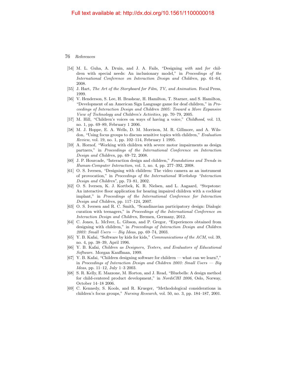- [54] M. L. Guha, A. Druin, and J. A. Fails, "Designing with and for children with special needs: An inclusionary model," in Proceedings of the International Conference on Interaction Design and Children, pp. 61–64, 2008.
- [55] J. Hart, The Art of the Storyboard for Film, TV, and Animation. Focal Press, 1999.
- [56] V. Henderson, S. Lee, H. Brashear, H. Hamilton, T. Starner, and S. Hamilton, "Development of an American Sign Language game for deaf children," in Proceedings of Interaction Design and Children 2005: Toward a More Expansive View of Technology and Children's Activities, pp. 70–79, 2005.
- [57] M. Hill, "Children's voices on ways of having a voice," Childhood, vol. 13, no. 1, pp. 69–89, February 1 2006.
- [58] M. J. Hoppe, E. A. Wells, D. M. Morrison, M. R. Gillmore, and A. Wilsdon, "Using focus groups to discuss sensitive topics with children," Evaluation Review, vol. 19, no. 1, pp. 102–114, February 1 1995.
- [59] A. Hornof, "Working with children with severe motor impairments as design partners," in Proceedings of the International Conference on Interaction Design and Children, pp. 69–72, 2008.
- <span id="page-22-0"></span>[60] J. P. Hourcade, "Interaction design and children," Foundations and Trends in Human-Computer Interaction, vol. 1, no. 4, pp. 277–392, 2008.
- [61] O. S. Iversen, "Designing with children: The video camera as an instrument of provocation," in Proceedings of the International Workshop "Interaction Design and Children", pp. 73–81, 2002.
- [62] O. S. Iversen, K. J. Kortbek, K. R. Nielsen, and L. Aagaard, "Stepstone: An interactive floor application for hearing impaired children with a cochlear implant," in Proceedings of the International Conference for Interaction Design and Children, pp. 117–124, 2007.
- <span id="page-22-1"></span>[63] O. S. Iversen and R. C. Smith, "Scandinavian participatory design: Dialogic curation with teenagers," in Proceedings of the International Conference on Interaction Design and Children, Bremen, Germany, 2012.
- [64] C. Jones, L. McIver, L. Gibson, and P. Gregor, "Experiences obtained from designing with children," in Proceedings of Interaction Design and Children 2003: Small Users — Big Ideas, pp. 69–74, 2003.
- [65] Y. B. Kafai, "Software by kids for kids," Communications of the ACM, vol. 39, no. 4, pp. 38–39, April 1996.
- [66] Y. B. Kafai, Children as Designers, Testers, and Evaluators of Educational Software. Morgan Kauffman, 1999.
- [67] Y. B. Kafai, "Children designing software for children what can we learn?," in Proceedings of Interaction Design and Children 2003: Small Users — Big Ideas, pp. 11–12, July 1–3 2003.
- [68] S. R. Kelly, E. Mazzone, M. Horton, and J. Read, "Bluebells: A design method for child-centered product development," in NordiCHI 2006, Oslo, Norway, October 14–18 2006.
- [69] C. Kennedy, S. Kools, and R. Krueger, "Methodological considerations in children's focus groups," Nursing Research, vol. 50, no. 3, pp. 184–187, 2001.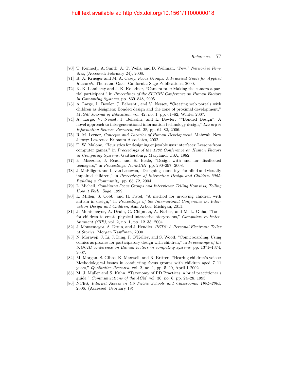- <span id="page-23-0"></span>[70] T. Kennedy, A. Smith, A. T. Wells, and B. Wellman, "Pew," Networked Families, (Accessed: February 24), 2008.
- [71] R. A. Krueger and M. A. Casey, Focus Groups: A Practical Guide for Applied Research. Thousand Oaks, California: Sage Publications, 2000.
- [72] K. K. Lamberty and J. K. Kolodner, "Camera talk: Making the camera a partial participant," in Proceedings of the SIGCHI Conference on Human Factors in Computing Systems, pp. 839–848, 2005.
- [73] A. Large, L. Bowler, J. Beheshti, and V. Nesset, "Creating web portals with children as designers: Bonded design and the zone of proximal development," McGill Journal of Education, vol. 42, no. 1, pp. 61–82, Winter 2007.
- [74] A. Large, V. Nesset, J. Beheshti, and L. Bowler, ""Bonded Design": A novel approach to intergenerational information technology design," Library  $\mathcal C$ Information Science Research, vol. 28, pp. 64–82, 2006.
- <span id="page-23-2"></span>[75] R. M. Lerner, Concepts and Theories of Human Development. Mahwah, New Jersey: Lawrence Erlbaum Associates, 2002.
- [76] T. W. Malone, "Heuristics for designing enjoyable user interfaces: Lessons from computer games," in Proceedings of the 1982 Conference on Human Factors in Computing Systems, Gaithersburg, Maryland, USA, 1982.
- [77] E. Mazzone, J. Read, and R. Beale, "Design with and for disaffected teenagers," in Proceedings: NordiCHI, pp. 290–297, 2008.
- [78] J. McElligott and L. van Leeuwen, "Designing sound toys for blind and visually impaired children," in Proceedings of Interaction Design and Children 2004: Building a Community, pp. 65–72, 2004.
- [79] L. Michell, Combining Focus Groups and Interviews: Telling How it is; Telling How it Feels. Sage, 1999.
- [80] L. Millen, S. Cobb, and H. Patel, "A method for involving children with autism in design," in Proceedings of the International Conference on Interaction Design and Children, Ann Arbor, Michigan, 2011.
- [81] J. Montemayor, A. Druin, G. Chipman, A. Farber, and M. L. Guha, "Tools for children to create physical interactive storyrooms," Computers in Entertainment (CIE), vol. 2, no. 1, pp. 12–35, 2004.
- [82] J. Montemayor, A. Druin, and J. Hendler, PETS: A Personal Electronic Teller of Stories. Morgan Kauffman, 2000.
- [83] N. Moraveji, J. Li, J. Ding, P. O'Kelley, and S. Woolf, "Comicboarding: Using comics as proxies for participatory design with children," in Proceedings of the SIGCHI conference on Human factors in computing systems, pp. 1371–1374, 2007.
- [84] M. Morgan, S. Gibbs, K. Maxwell, and N. Britten, "Hearing children's voices: Methodological issues in conducting focus groups with children aged 7–11 years," Qualitative Research, vol. 2, no. 1, pp. 5–20, April 1 2002.
- [85] M. J. Muller and S. Kuhn, "Taxonomy of PD Practices: a brief practitioner's guide," Communications of the ACM, vol. 36, no. 6, pp. 24–28, 1993.
- <span id="page-23-1"></span>[86] NCES, Internet Access in US Public Schools and Classrooms: 1994–2005. 2006. (Accessed: February 19).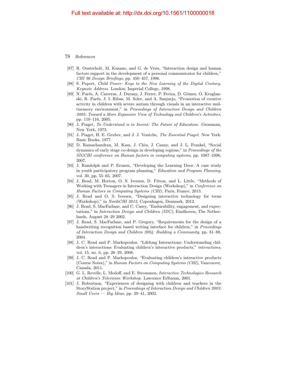- <span id="page-24-4"></span>[87] R. Oosterholt, M. Kusano, and G. de Vries, "Interaction design and human factors support in the development of a personal communicator for children," CHI 96 Design Briefings, pp. 450–457, 1996.
- [88] S. Papert, Child Power: Keys to the New Learning of the Digital Century. Keynote Address. London: Imperial College, 1998.
- [89] N. Parés, A. Carreras, J. Durany, J. Ferrer, P. Freixa, D. Gómez, O. Kruglanski, R. Parés, J. I. Ribas, M. Soler, and A. Sanjurjo, "Promotion of creative activity in children with severe autism through visuals in an interactive multisensory environment," in Proceedings of Interaction Design and Children 2005: Toward a More Expansive View of Technology and Children's Activities, pp. 110–116, 2005.
- [90] J. Piaget, To Understand is to Invent: The Future of Education. Grossman, New York, 1973.
- [91] J. Piaget, H. E. Gruber, and J. J. Vonèche, *The Essential Piaget*. New York: Basic Books, 1977.
- [92] D. Ramachandran, M. Kam, J. Chiu, J. Canny, and J. L. Frankel, "Social dynamics of early stage co-design in developing regions," in Proceedings of the SIGCHI conference on Human factors in computing systems, pp. 1087–1096, 2007.
- [93] J. Randolph and P. Eronen, "Developing the Learning Door: A case study in youth participatory program planning," Education and Program Planning, vol. 30, pp. 55–65, 2007.
- <span id="page-24-2"></span>[94] J. Read, M. Horton, O. S. Iversen, D. Fitton, and L. Little, "Methods of Working with Teenagers in Interaction Design (Workshop)," in Conference on Human Factors in Computing Systems (CHI), Paris, France, 2013.
- <span id="page-24-1"></span>[95] J. Read and O. S. Iversen, "Designing interactive technology for teens (Workshop)," in NordiCHI 2012, Copenhagen, Denmark, 2012.
- [96] J. Read, S. MacFarlane, and C. Casey, "Endurability, engagement, and expectations," in Interaction Design and Children (IDC), Eindhoven, The Netherlands, August 28–29 2002.
- <span id="page-24-5"></span>[97] J. Read, S. MacFarlane, and P. Gregory, "Requirements for the design of a handwriting recognition based writing interface for children," in *Proceedings* of Interaction Design and Children 2004: Building a Community, pp. 81–88, 2004.
- [98] J. C. Read and P. Markopoulos, "Lifelong Interactions: Understanding children's interactions: Evaluating children's interactive products," interactions, vol. 15, no. 6, pp. 26–29, 2008.
- [99] J. C. Read and P. Markopoulos, "Evaluating children's interactive products (Course Notes)," in Human Factors on Computing Systems (CHI), Vancouver, Canada, 2011.
- <span id="page-24-0"></span>[100] G. L. Revelle, L. Medoff, and E. Strommen, Interactive Technologies Research at Children's Television Workshop. Lawrence Erlbaum, 2001.
- <span id="page-24-3"></span>[101] J. Robertson, "Experiences of designing with children and teachers in the StoryStation project," in Proceedings of Interaction Design and Children 2003:  $Small \textit{Users} \longrightarrow Big \textit{Ideas}$ , pp. 29–41, 2002.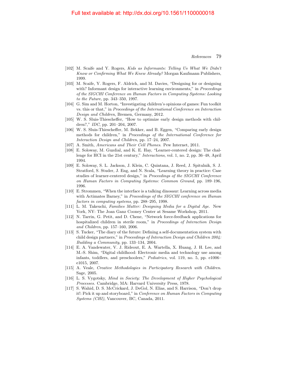- [102] M. Scaife and Y. Rogers, Kids as Informants: Telling Us What We Didn't Know or Confirming What We Knew Already? Morgan Kaufmann Publishers, 1999.
- [103] M. Scaife, Y. Rogers, F. Aldrich, and M. Davies, "Designing for or designing with? Informant design for interactive learning environments," in *Proceedings* of the SIGCHI Conference on Human Factors in Computing Systems: Looking to the Future, pp. 343–350, 1997.
- [104] G. Sim and M. Horton, "Investigating children's opinions of games: Fun toolkit vs. this or that," in Proceedings of the International Conference on Interaction Design and Children, Bremen, Germany, 2012.
- [105] W. S. Sluis-Thiescheffer, "How to optimize early design methods with children?," IDC, pp. 201–204, 2007.
- [106] W. S. Sluis-Thiescheffer, M. Bekker, and B. Eggen, "Comparing early design methods for children," in Proceedings of the International Conference for Interaction Design and Children, pp. 17–24, 2007.
- [107] A. Smith, Americans and Their Cell Phones. Pew Internet, 2011.
- [108] E. Soloway, M. Guzdial, and K. E. Hay, "Learner-centered design: The challenge for HCI in the 21st century," Interactions, vol. 1, no. 2, pp. 36–48, April 1994.
- [109] E. Soloway, S. L. Jackson, J. Klein, C. Quintana, J. Reed, J. Spitulnik, S. J. Stratford, S. Studer, J. Eng, and N. Scala, "Learning theory in practice: Case studies of learner-centered design," in Proceedings of the SIGCHI Conference on Human Factors in Computing Systems: Common Ground, pp. 189–196, 1996.
- <span id="page-25-2"></span>[110] E. Strommen, "When the interface is a talking dinosaur: Learning across media with Actimates Barney," in Proceedings of the SIGCHI conference on Human factors in computing systems, pp. 288–295, 1998.
- <span id="page-25-1"></span>[111] L. M. Takeuchi, Families Matter: Designing Media for a Digital Age. New York, NY: The Joan Ganz Cooney Center at Sesame Workshop, 2011.
- [112] N. Tarrin, G. Petit, and D. Chene, "Network force-feedback applications for hospitalized children in sterile room," in Proceedings of Interaction Design and Children, pp. 157–160, 2006.
- [113] S. Tucker, "The diary of the future: Defining a self-documentation system with child design partners," in Proceedings of Interaction Design and Children 2004: Building a Community, pp. 133–134, 2004.
- <span id="page-25-0"></span>[114] E. A. Vandewater, V. J. Rideout, E. A. Wartella, X. Huang, J. H. Lee, and M.-S. Shim, "Digital childhood: Electronic media and technology use among infants, toddlers, and preschoolers," Pediatrics, vol. 119, no. 5, pp. e1006– e1015, 2007.
- [115] A. Veale, Creative Methodologies in Participatory Research with Children. Sage, 2005.
- [116] L. S. Vygotsky, Mind in Society: The Development of Higher Psychological Processes. Cambridge, MA: Harvard University Press, 1978.
- [117] S. Wahid, D. S. McCrickard, J. DeGol, N. Elias, and S. Harrison, "Don't drop it!: Pick it up and storyboard," in Conference on Human Factors in Computing Systems (CHI), Vancouver, BC, Canada, 2011.